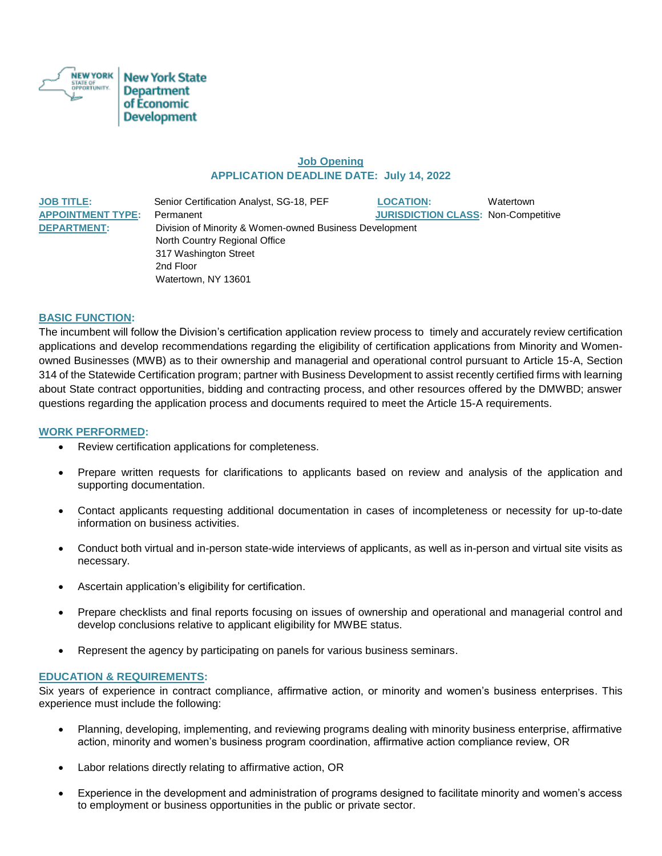

## **Job Opening APPLICATION DEADLINE DATE: July 14, 2022**

**JOB TITLE:** Senior Certification Analyst, SG-18, PEF **LOCATION:** Watertown **APPOINTMENT TYPE:** Permanent **JURISDICTION CLASS:** Non-Competitive **DEPARTMENT:** Division of Minority & Women-owned Business Development North Country Regional Office 317 Washington Street 2nd Floor Watertown, NY 13601

## **BASIC FUNCTION:**

The incumbent will follow the Division's certification application review process to timely and accurately review certification applications and develop recommendations regarding the eligibility of certification applications from Minority and Womenowned Businesses (MWB) as to their ownership and managerial and operational control pursuant to Article 15-A, Section 314 of the Statewide Certification program; partner with Business Development to assist recently certified firms with learning about State contract opportunities, bidding and contracting process, and other resources offered by the DMWBD; answer questions regarding the application process and documents required to meet the Article 15-A requirements.

### **WORK PERFORMED:**

- Review certification applications for completeness.
- Prepare written requests for clarifications to applicants based on review and analysis of the application and supporting documentation.
- Contact applicants requesting additional documentation in cases of incompleteness or necessity for up-to-date information on business activities.
- Conduct both virtual and in-person state-wide interviews of applicants, as well as in-person and virtual site visits as necessary.
- Ascertain application's eligibility for certification.
- Prepare checklists and final reports focusing on issues of ownership and operational and managerial control and develop conclusions relative to applicant eligibility for MWBE status.
- Represent the agency by participating on panels for various business seminars.

#### **EDUCATION & REQUIREMENTS:**

Six years of experience in contract compliance, affirmative action, or minority and women's business enterprises. This experience must include the following:

- Planning, developing, implementing, and reviewing programs dealing with minority business enterprise, affirmative action, minority and women's business program coordination, affirmative action compliance review, OR
- Labor relations directly relating to affirmative action, OR
- Experience in the development and administration of programs designed to facilitate minority and women's access to employment or business opportunities in the public or private sector.